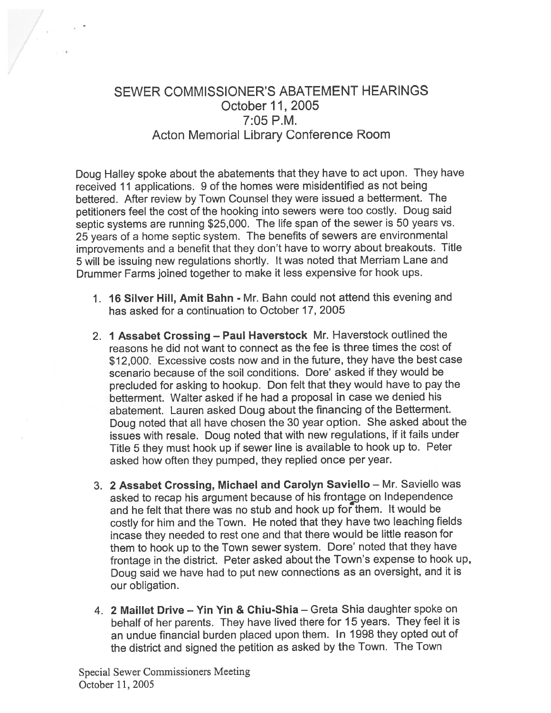# SEWER COMMISSIONER'S ABATEMENT HEARINGS October 11, 2005 7:05 P.M. Acton Memorial Library Conference Room

Doug Halley spoke about the abatements that they have to act upon. They have received <sup>11</sup> applications. <sup>9</sup> of the homes were misidentified as not being bettered. After review by Town Counsel they were issued <sup>a</sup> betterment. The petitioners feel the cost of the hooking into sewers were too costly. Doug said septic systems are running \$25,000. The life span of the sewer is 50 years vs. <sup>25</sup> years of <sup>a</sup> home septic system. The benefits of sewers are environmental improvements and <sup>a</sup> benefit that they don't have to worry about breakouts. Title <sup>5</sup> will be issuing new regulations shortly. It was noted that Merriam Lane and Drummer Farms joined together to make it less expensive for hook ups.

- 1. 16 Silver Hill, Amit Bahn Mr. Bahn could not attend this evening and has asked for <sup>a</sup> continuation to October 17, 2005
- 2. <sup>1</sup> Assabet Crossing Paul Haverstock Mr. Haverstock outlined the reasons he did not want to connect as the fee is three times the cost of \$12,000. Excessive costs now and in the future, they have the best case scenario because of the soil conditions. Dore' asked if they would be precluded for asking to hookup. Don felt that they would have to pay the betterment. Walter asked if he had <sup>a</sup> proposa<sup>l</sup> in case we denied his abatement. Lauren asked Doug about the financing of the Betterment. Doug noted that all have chosen the <sup>30</sup> year option. She asked about the issues with resale. Doug noted that with new regulations, if it fails under Title <sup>5</sup> they must hook up if sewer line is available to hook up to. Peter asked how often they pumped, they replied once per year.
- 3. <sup>2</sup> Assabet Crossing, Michael and Carolyn Saviello Mr. Saviello was asked to recap his argumen<sup>t</sup> because of his frontage on Independence and he felt that there was no stub and hook up for them. It would be costly for him and the Town. He noted that they have two leaching fields incase they needed to rest one and that there would be little reason for them to hook up to the Town sewer system. Dore' noted that they have frontage in the district. Peter asked about the Town's expense to hook up, Doug said we have had to pu<sup>t</sup> new connections as an oversight, and it is our obligation.
- 4. 2 MailIet Drive Yin Yin & Chiu-Shia Greta Shia daughter spoke on behalf of her parents. They have lived there for <sup>15</sup> years. They feel it is an undue financial burden <sup>p</sup>laced upon them. In <sup>1998</sup> they opted out of the district and signed the petition as asked by the Town. The Town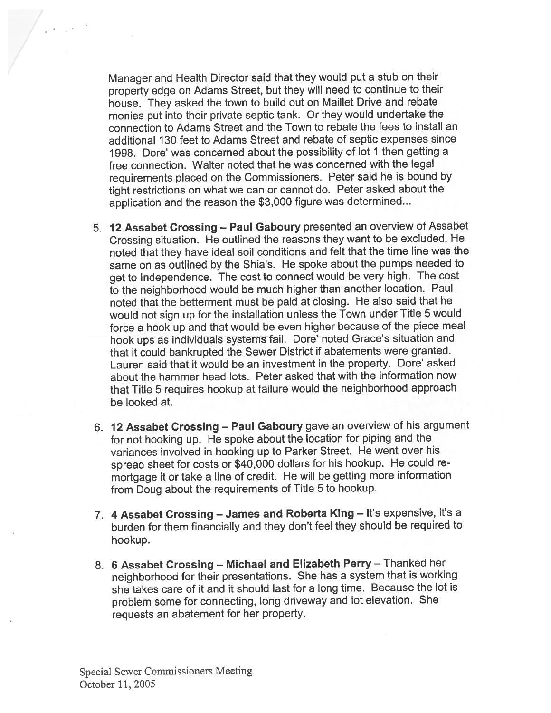Manager and Health Director said that they would pu<sup>t</sup> <sup>a</sup> stub on their property edge on Adams Street, but they will need to continue to their house. They asked the town to build out on Maillet Drive and rebate monies pu<sup>t</sup> into their private septic tank. Or they would undertake the connection to Adams Street and the Town to rebate the fees to install an additional 130 feet to Adams Street and rebate of septic expenses since 1998. Dore' was concerned about the possibility of lot <sup>I</sup> then getting <sup>a</sup> free connection. Walter noted that he was concerned with the legal requirements <sup>p</sup>laced on the Commissioners. Peter said he is bound by tight restrictions on what we can or cannot do. Peter asked about the application and the reason the \$3,000 figure was determined...

- 5. <sup>12</sup> Assabet Crossing Paul Gaboury presented an overview of Assabet Crossing situation. He outlined the reasons they want to be excluded. He noted that they have ideal soil conditions and felt that the time line was the same on as outlined by the Shia's. He spoke about the pumps needed to ge<sup>t</sup> to Independence. The cost to connect would be very high. The cost to the neighborhood would be much higher than another location. Paul noted that the betterment must be paid at closing. He also said that he would not sign up for the installation unless the Town under Title <sup>5</sup> would force <sup>a</sup> hook up and that would be even higher because of the <sup>p</sup>iece meal hook ups as individuals systems fail. Dore' noted Grace's situation and that it could bankrupted the Sewer District if abatements were granted. Lauren said that it would be an investment in the property. Dore' asked about the hammer head lots. Peter asked that with the information now that Title <sup>5</sup> requires hookup at failure would the neighborhood approac<sup>h</sup> be looked at.
- 6. <sup>12</sup> Assabet Crossing Paul Gaboury gave an overview of his argumen<sup>t</sup> for not hooking up. He spoke about the location for <sup>p</sup>iping and the variances involved in hooking up to Parker Street. He went over his sprea<sup>d</sup> sheet for costs or \$40,000 dollars for his hookup. He could re mortgage it or take <sup>a</sup> line of credit. He will be getting more information from Doug about the requirements of Title <sup>5</sup> to hookup.
- 7. <sup>4</sup> Assabet Crossing James and Roberta King It's expensive, it's <sup>a</sup> burden for them financially and they don't feel they should be required to hookup.
- 8. <sup>6</sup> Assabet Crossing Michael and Elizabeth Perry Thanked her neighborhood for their presentations. She has <sup>a</sup> system that is working she takes care of it and it should last for <sup>a</sup> long time. Because the lot is problem some for connecting, long driveway and lot elevation. She requests an abatement for her property.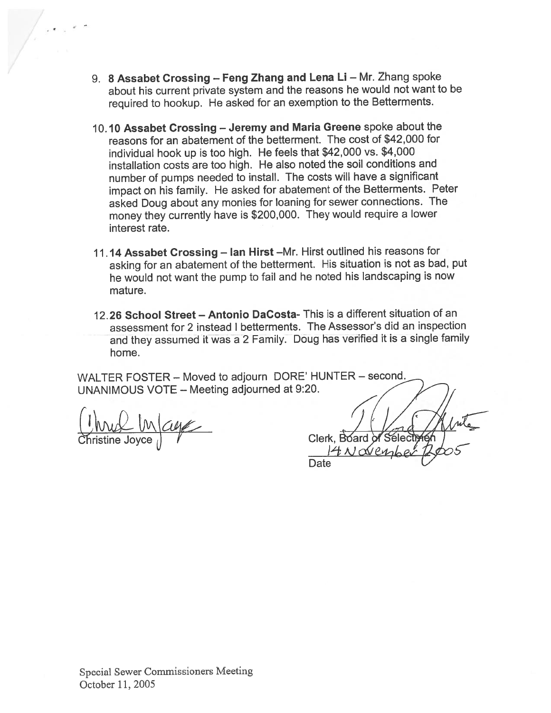- 9. <sup>8</sup> Assabet Crossing Feng Zhang and Lena Li Mr. Zhang spoke about his current private system and the reasons he would not want to be required to hookup. He asked for an exemption to the Betterments.
- 10.10 Assabet Crossing Jeremy and Maria Greene spoke about the reasons for an abatement of the betterment. The cost of \$42,000 for individual hook up is too high. He feels that \$42,000 vs. \$4,000 installation costs are too high. He also noted the soil conditions and number of pumps needed to install. The costs will have <sup>a</sup> significant impact on his family. He asked for abatement of the Betterments. Peter asked Doug about any monies for loaning for sewer connections. The money they currently have is \$200,000. They would require <sup>a</sup> lower interest rate.
- 11.14 Assabet Crossing Ian Hirst —Mr. Hirst outlined his reasons for asking for an abatement of the betterment. His situation is not as bad, pu<sup>t</sup> he would not want the pump to fail and he noted his landscaping is now mature.
- 12.26 School Street Antonio DaCosta- This is <sup>a</sup> different situation of an assessment for 2 instead I betterments. The Assessor's did an inspection and they assumed it was <sup>a</sup> <sup>2</sup> Family. Doug has verified it is <sup>a</sup> single family home.

WALTER FOSTER — Moved to adjourn DORE' HUNTER — second. UNANIMOUS VOTE — Meeting adjourned at 9:20.

Christine Joyce

Clerk. Board Sélectr Date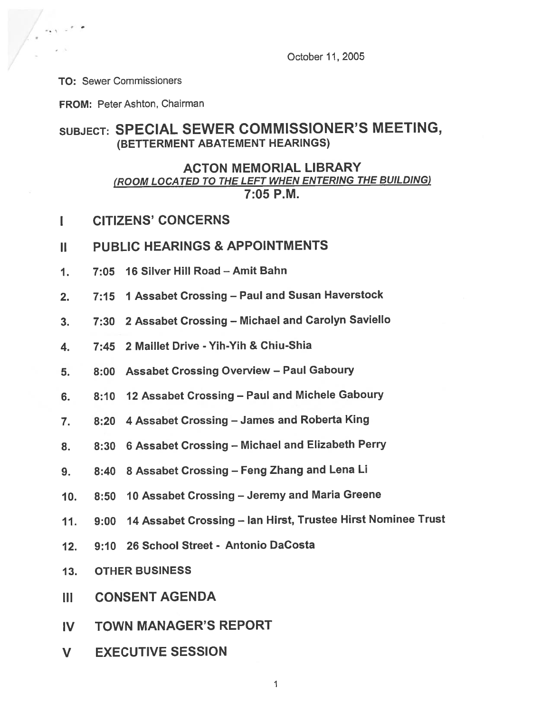October 11,2005

TO: Sewer Commissioners

FROM: Peter Ashton, Chairman

## SUBJECT: SPECIAL SEWER COMMISSIONER'S MEETING, (BETTERMENT ABATEMENT HEARINGS)

#### ACTON MEMORIAL LIBRARY (ROOM LOCATED TO THE LEFT WHEN ENTERING THE BUILDING) 7:05 P.M.

I CITIZENS' CONCERNS

#### II PUBLIC HEARINGS & APPOINTMENTS

- 1. 7:05 16 Silver Hill Road —Amit Bahn
- 2. 7:15 <sup>1</sup> Assabet Crossing Paul and Susan Haverstock
- 3. 7:30 <sup>2</sup> Assabet Crossing Michael and Carolyn Saviello
- 4. 7:45 2 Maillet Drive Yih-Yih & Chiu-Shia
- 5. 8:00 Assabet Crossing Overview Paul Gaboury
- 6. 8:10 <sup>12</sup> Assabet Crossing Paul and Michele Gaboury
- 7. 8:20 <sup>4</sup> Assabet Crossing James and Roberta King
- 8. 8:30 <sup>6</sup> Assabet Crossing Michael and Elizabeth Perry
- 9. 8:40 <sup>8</sup> Assabet Crossing Feng Zhang and Lena Li
- 10. 8:50 10 Assabet Crossing Jeremy and Maria Greene
- 11. 9:00 <sup>14</sup> Assabet Crossing Ian Hirst, Trustee Hirst Nominee Trust
- 12. 9:10 26 School Street Antonio DaCosta
- 13. OTHER BUSINESS
- III CONSENT AGENDA
- IV TOWN MANAGER'S REPORT
- V EXECUTIVE SESSION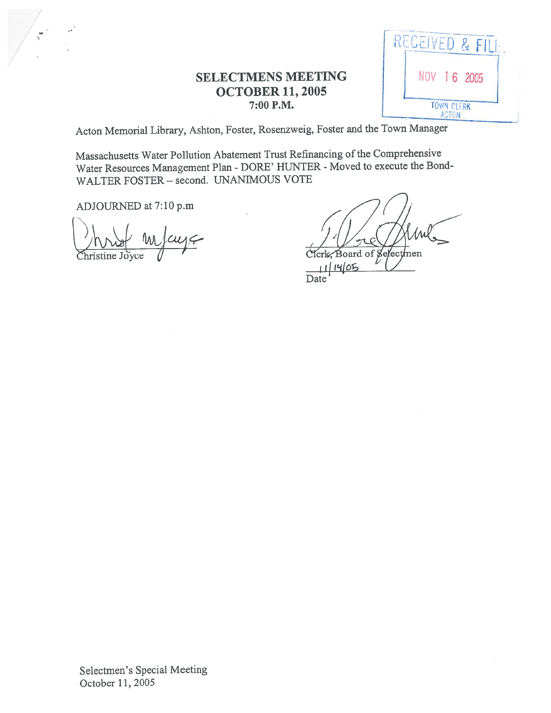## **SELECTMENS MEETING OCTOBER 11, 2005** 7:00 P.M.



Acton Memorial Library, Ashton, Foster, Rosenzweig, Foster and the Town Manager

Massachusetts Water Pollution Abatement Trust Refinancing of the Comprehensive Water Resources Management Plan - DORE' HUNTER - Moved to execute the Bond-WALTER FOSTER - second. UNANIMOUS VOTE

ADJOURNED at 7:10 p.m

hristine Joyce'

Board of Selectmen

 $14/05$ Date

Selectmen's Special Meeting October 11, 2005